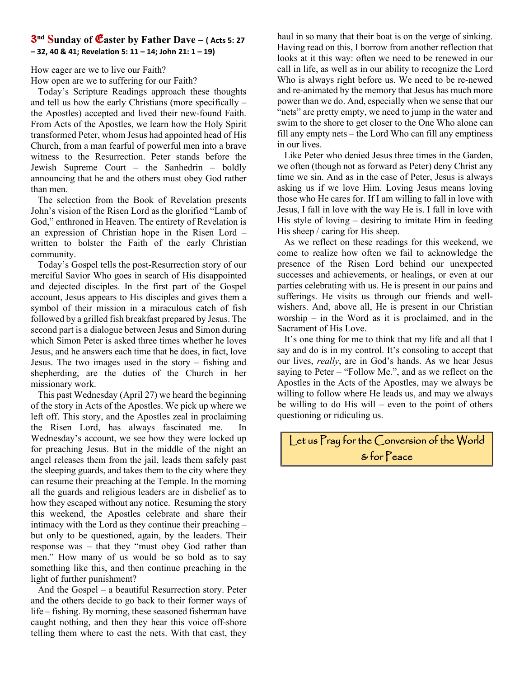#### 3**nd Sunday of** E**aster by Father Dave – ( Acts 5: 27 – 32, 40 & 41; Revelation 5: 11 – 14; John 21: 1 – 19)**

How eager are we to live our Faith? How open are we to suffering for our Faith?

 Today's Scripture Readings approach these thoughts and tell us how the early Christians (more specifically – the Apostles) accepted and lived their new-found Faith. From Acts of the Apostles, we learn how the Holy Spirit transformed Peter, whom Jesus had appointed head of His Church, from a man fearful of powerful men into a brave witness to the Resurrection. Peter stands before the Jewish Supreme Court – the Sanhedrin – boldly announcing that he and the others must obey God rather than men.

 The selection from the Book of Revelation presents John's vision of the Risen Lord as the glorified "Lamb of God," enthroned in Heaven. The entirety of Revelation is an expression of Christian hope in the Risen Lord – written to bolster the Faith of the early Christian community.

 Today's Gospel tells the post-Resurrection story of our merciful Savior Who goes in search of His disappointed and dejected disciples. In the first part of the Gospel account, Jesus appears to His disciples and gives them a symbol of their mission in a miraculous catch of fish followed by a grilled fish breakfast prepared by Jesus. The second part is a dialogue between Jesus and Simon during which Simon Peter is asked three times whether he loves Jesus, and he answers each time that he does, in fact, love Jesus. The two images used in the story – fishing and shepherding, are the duties of the Church in her missionary work.

 This past Wednesday (April 27) we heard the beginning of the story in Acts of the Apostles. We pick up where we left off. This story, and the Apostles zeal in proclaiming the Risen Lord, has always fascinated me. Wednesday's account, we see how they were locked up for preaching Jesus. But in the middle of the night an angel releases them from the jail, leads them safely past the sleeping guards, and takes them to the city where they can resume their preaching at the Temple. In the morning all the guards and religious leaders are in disbelief as to how they escaped without any notice. Resuming the story this weekend, the Apostles celebrate and share their intimacy with the Lord as they continue their preaching – but only to be questioned, again, by the leaders. Their response was – that they "must obey God rather than men." How many of us would be so bold as to say something like this, and then continue preaching in the light of further punishment?

 And the Gospel – a beautiful Resurrection story. Peter and the others decide to go back to their former ways of life – fishing. By morning, these seasoned fisherman have caught nothing, and then they hear this voice off-shore telling them where to cast the nets. With that cast, they

haul in so many that their boat is on the verge of sinking. Having read on this, I borrow from another reflection that looks at it this way: often we need to be renewed in our call in life, as well as in our ability to recognize the Lord Who is always right before us. We need to be re-newed and re-animated by the memory that Jesus has much more power than we do. And, especially when we sense that our "nets" are pretty empty, we need to jump in the water and swim to the shore to get closer to the One Who alone can fill any empty nets – the Lord Who can fill any emptiness in our lives.

 Like Peter who denied Jesus three times in the Garden, we often (though not as forward as Peter) deny Christ any time we sin. And as in the case of Peter, Jesus is always asking us if we love Him. Loving Jesus means loving those who He cares for. If I am willing to fall in love with Jesus, I fall in love with the way He is. I fall in love with His style of loving – desiring to imitate Him in feeding His sheep / caring for His sheep.

 As we reflect on these readings for this weekend, we come to realize how often we fail to acknowledge the presence of the Risen Lord behind our unexpected successes and achievements, or healings, or even at our parties celebrating with us. He is present in our pains and sufferings. He visits us through our friends and wellwishers. And, above all, He is present in our Christian worship – in the Word as it is proclaimed, and in the Sacrament of His Love.

 It's one thing for me to think that my life and all that I say and do is in my control. It's consoling to accept that our lives, *really*, are in God's hands. As we hear Jesus saying to Peter – "Follow Me.", and as we reflect on the Apostles in the Acts of the Apostles, may we always be willing to follow where He leads us, and may we always be willing to do His will – even to the point of others questioning or ridiculing us.

Let us Pray for the Conversion of the World & for Peace